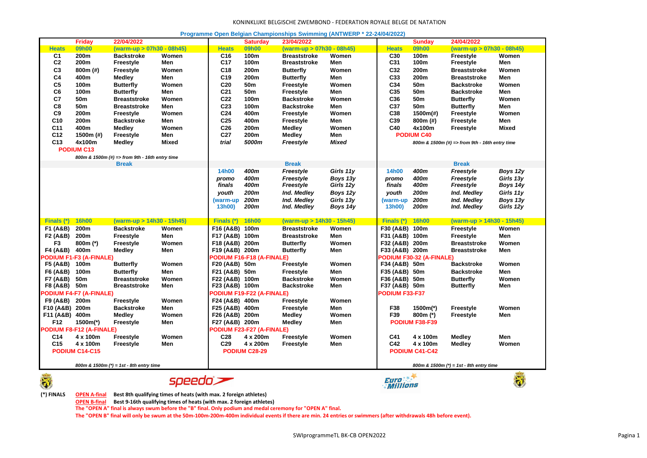## KONINKLIJKE BELGISCHE ZWEMBOND - FEDERATION ROYALE BELGE DE NATATION

| Programme Open Belgian Championships Swimming (ANTWERP * 22-24/04/2022) |  |
|-------------------------------------------------------------------------|--|
|-------------------------------------------------------------------------|--|

|                                           | <b>Friday</b>                  | 22/04/2022                                     |                             |                 | <b>Saturday</b>                  | 23/04/2022                |              |                                         | <b>Sunday</b>                   | 24/04/2022                                     |                  |
|-------------------------------------------|--------------------------------|------------------------------------------------|-----------------------------|-----------------|----------------------------------|---------------------------|--------------|-----------------------------------------|---------------------------------|------------------------------------------------|------------------|
| <b>Heats</b>                              | 09h00                          | (warm-up > 07h30 - 08h45)                      |                             | <b>Heats</b>    | 09h00                            | (warm-up > 07h30 - 08h45) |              | <b>Heats</b>                            | 09h00                           | (warm-up > 07h30 - 08h45)                      |                  |
| C <sub>1</sub>                            | 200m                           | <b>Backstroke</b>                              | Women                       | C <sub>16</sub> | 100m                             | <b>Breaststroke</b>       | Women        | C30                                     | 100m                            | <b>Freestyle</b>                               | Women            |
| C <sub>2</sub>                            | 200m                           | Freestyle                                      | Men                         | C <sub>17</sub> | 100m                             | <b>Breaststroke</b>       | Men          | C31                                     | 100m                            | Freestyle                                      | Men              |
| C <sub>3</sub>                            | 800m (#)                       | Freestyle                                      | Women                       | C <sub>18</sub> | 200m                             | <b>Butterfly</b>          | Women        | C32                                     | 200m                            | Breaststroke                                   | Women            |
| C <sub>4</sub>                            | 400m                           | Medley                                         | Men                         | C <sub>19</sub> | 200m                             | <b>Butterfly</b>          | Men          | C33                                     | 200m                            | <b>Breaststroke</b>                            | Men              |
| C <sub>5</sub>                            | 100m                           | <b>Butterfly</b>                               | Women                       | C <sub>20</sub> | 50m                              | <b>Freestyle</b>          | Women        | C34                                     | 50 <sub>m</sub>                 | <b>Backstroke</b>                              | Women            |
| C <sub>6</sub>                            | 100m                           | <b>Butterfly</b>                               | Men                         | C <sub>21</sub> | 50 <sub>m</sub>                  | <b>Freestyle</b>          | Men          | C35                                     | 50 <sub>m</sub>                 | <b>Backstroke</b>                              | Men              |
| C7                                        | 50m                            | <b>Breaststroke</b>                            | Women                       | C <sub>22</sub> | 100m                             | <b>Backstroke</b>         | Women        | C36                                     | 50m                             | <b>Butterfly</b>                               | Women            |
| C <sub>8</sub>                            | 50m                            | <b>Breaststroke</b>                            | Men                         | C <sub>23</sub> | 100m                             | <b>Backstroke</b>         | Men          | C37                                     | 50m                             | <b>Butterfly</b>                               | Men              |
| C <sub>9</sub>                            | 200m                           | Freestyle                                      | Women                       | C <sub>24</sub> | 400m                             | <b>Freestyle</b>          | Women        | C38                                     | 1500m(#)                        | Freestyle                                      | Women            |
| C10                                       | 200m                           | <b>Backstroke</b>                              | Men                         | C <sub>25</sub> | 400m                             | <b>Freestyle</b>          | Men          | C39                                     | 800m (#)                        | <b>Freestyle</b>                               | Men              |
| C <sub>11</sub>                           | 400m                           |                                                | Women                       | C <sub>26</sub> | 200m                             |                           | Women        | C40                                     | 4x100m                          |                                                | <b>Mixed</b>     |
|                                           |                                | Medley                                         |                             |                 |                                  | <b>Medley</b>             |              |                                         |                                 | <b>Freestyle</b>                               |                  |
| C <sub>12</sub>                           | 1500m (#)                      | <b>Freestyle</b>                               | Men                         | C <sub>27</sub> | 200 <sub>m</sub>                 | <b>Medley</b>             | Men          |                                         | <b>PODIUM C40</b>               |                                                |                  |
| C13                                       | 4x100m                         | Medley                                         | <b>Mixed</b>                | trial           | 5000m                            | Freestyle                 | <b>Mixed</b> |                                         |                                 | 800m & 1500m (#) => from 9th - 16th entry time |                  |
|                                           | <b>PODIUM C13</b>              |                                                |                             |                 |                                  |                           |              |                                         |                                 |                                                |                  |
|                                           |                                | 800m & 1500m (#) => from 9th - 16th entry time |                             |                 |                                  |                           |              |                                         |                                 |                                                |                  |
|                                           |                                | <b>Break</b>                                   |                             |                 |                                  | <b>Break</b>              |              |                                         |                                 | <b>Break</b>                                   |                  |
|                                           |                                |                                                |                             | <b>14h00</b>    | 400m                             | Freestyle                 | Girls 11y    | 14h00                                   | 400m                            | Freestyle                                      | Boys 12y         |
|                                           |                                |                                                |                             | promo           | 400m                             | Freestyle                 | Boys 13y     | promo                                   | 400m                            | Freestyle                                      | Girls 13y        |
|                                           |                                |                                                |                             | finals          | 400m                             | Freestyle                 | Girls 12y    | finals                                  | 400m                            | Freestyle                                      | Boys 14y         |
|                                           |                                |                                                |                             | youth           | 200m                             | Ind. Medley               | Boys 12y     | youth                                   | 200m                            | Ind. Medley                                    | Girls 11y        |
|                                           |                                |                                                |                             | (warm-up        | 200m                             | Ind. Medley               | Girls 13y    | (warm-up                                | 200m                            | Ind. Medley                                    | Boys 13y         |
|                                           |                                |                                                |                             | 13h00)          | 200m                             | Ind. Medley               | Boys 14y     | 13h00)                                  | 200m                            | Ind. Medley                                    | Girls 12y        |
|                                           |                                |                                                |                             |                 |                                  |                           |              |                                         |                                 |                                                |                  |
| <b>Finals (*</b>                          | <b>16h00</b>                   | (warm-up > 14h30 - 15h45)                      |                             | Finals (*)      | <b>16h00</b>                     | (warm-up > 14h30 - 15h45) |              | Finals (*)                              | <b>16h00</b>                    | (warm-up > 14h30 - 15h45)                      |                  |
| F1 (A&B)                                  | 200m                           | <b>Backstroke</b>                              | Women                       | F16 (A&B) 100m  |                                  | <b>Breaststroke</b>       | Women        | F30 (A&B) 100m                          |                                 | Freestyle                                      | Women            |
| F2 (A&B)                                  | 200m                           | Freestyle                                      | Men                         | F17 (A&B) 100m  |                                  | <b>Breaststroke</b>       | Men          | F31 (A&B) 100m                          |                                 | Freestyle                                      | Men              |
| F <sub>3</sub>                            | $800m$ (*)                     | <b>Freestyle</b>                               | Women                       | F18 (A&B) 200m  |                                  | <b>Butterfly</b>          | Women        | F32 (A&B) 200m                          |                                 | <b>Breaststroke</b>                            | Women            |
| F4 (A&B)                                  | 400m                           | Medley                                         | Men                         | F19 (A&B) 200m  |                                  | <b>Butterfly</b>          | Men          | F33 (A&B) 200m                          |                                 | <b>Breaststroke</b>                            | Men              |
|                                           | PODIUM F1-F3 (A-FINALE)        |                                                |                             |                 | <b>PODIUM F16-F18 (A-FINALE)</b> |                           |              |                                         | <b>PODIUM F30-32 (A-FINALE)</b> |                                                |                  |
| F5 (A&B)                                  | 100m                           | <b>Butterfly</b>                               | Women                       | F20 (A&B) 50m   |                                  | <b>Freestyle</b>          | Women        | F34 (A&B) 50m                           |                                 | <b>Backstroke</b>                              | Women            |
| F6 (A&B)                                  | 100m                           | Butterfly                                      | Men                         | F21 (A&B) 50m   |                                  | Freestyle                 | Men          | F35 (A&B) 50m                           |                                 | <b>Backstroke</b>                              | Men              |
| F7 (A&B)                                  | 50m                            | <b>Breaststroke</b>                            | Women                       | F22 (A&B) 100m  |                                  | <b>Backstroke</b>         | Women        | F36 (A&B) 50m                           |                                 | <b>Butterfly</b>                               | Women            |
| F8 (A&B)                                  | 50m                            | Breaststroke                                   | Men                         | F23 (A&B) 100m  |                                  | <b>Backstroke</b>         | Men          | F37 (A&B) 50m                           |                                 | <b>Butterfly</b>                               | Men              |
|                                           | <b>PODIUM F4-F7 (A-FINALE)</b> |                                                |                             |                 | <b>PODIUM F19-F22 (A-FINALE)</b> |                           |              | <b>PODIUM F33-F37</b>                   |                                 |                                                |                  |
| F9 (A&B)                                  | 200m                           | Freestyle                                      | Women                       | F24 (A&B) 400m  |                                  | <b>Freestyle</b>          | Women        |                                         |                                 |                                                |                  |
|                                           |                                |                                                | Men                         |                 |                                  |                           | Men          | F38                                     |                                 |                                                | Women            |
| F10 (A&B)                                 | 200m                           | <b>Backstroke</b>                              |                             | F25 (A&B) 400m  |                                  | <b>Freestyle</b>          |              |                                         | 1500m(*)                        | <b>Freestyle</b>                               |                  |
| F11 (A&B) 400m                            |                                | Medley                                         | Women                       | F26 (A&B) 200m  |                                  | <b>Medley</b>             | Women        | F39                                     | 800m (*)                        | Freestyle                                      | Men              |
| F12                                       | 1500m(*)                       | Freestyle                                      | Men                         | F27 (A&B) 200m  |                                  | <b>Medley</b>             | Men          |                                         | PODIUM F38-F39                  |                                                |                  |
|                                           | PODIUM F8-F12 (A-FINALE)       |                                                |                             |                 | PODIUM F23-F27 (A-FINALE)        |                           |              |                                         |                                 |                                                |                  |
| C <sub>14</sub>                           | 4 x 100m                       | <b>Freestyle</b>                               | Women                       | C28             | 4 x 200m                         | <b>Freestyle</b>          | Women        | C41                                     | 4 x 100m                        | Medley                                         | Men              |
| C <sub>15</sub>                           | 4 x 100m                       | <b>Freestyle</b>                               | Men                         | C <sub>29</sub> | 4 x 200m                         | <b>Freestyle</b>          | Men          | C42                                     | 4 x 100m                        | Medley                                         | Women            |
|                                           | PODIUM C14-C15                 |                                                |                             |                 | PODIUM C28-29                    |                           |              |                                         | PODIUM C41-C42                  |                                                |                  |
|                                           |                                |                                                |                             |                 |                                  |                           |              |                                         |                                 |                                                |                  |
| 800m & 1500m $(*)$ = 1st - 8th entry time |                                |                                                |                             |                 |                                  |                           |              | 800m & 1500m (*) = 1st - 8th entry time |                                 |                                                |                  |
| $\frac{1}{\sqrt{2}}$                      |                                |                                                |                             |                 |                                  |                           |              | Furn <sup>+</sup> **                    |                                 |                                                | $\mathbf{E}_{4}$ |
|                                           |                                |                                                | $\epsilon$ poode $\epsilon$ |                 |                                  |                           |              |                                         |                                 |                                                |                  |

speedo

*Euro*<br>*Millions* 



**(\*) FINALS OPEN A-final Best 8th qualifying times of heats (with max. 2 foreign athletes)**

**Separate** 

**OPEN B-final Best 9-16th qualifying times of heats (with max. 2 foreign athletes)**

**The "OPEN A" final is always swum before the "B" final. Only podium and medal ceremony for "OPEN A" final.**

**The "OPEN B" final will only be swum at the 50m-100m-200m-400m individual events if there are min. 24 entries or swimmers (after withdrawals 48h before event).**